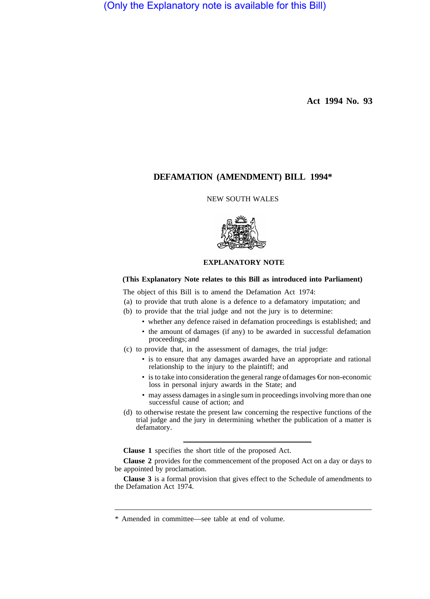(Only the Explanatory note is available for this Bill)

**Act 1994 No. 93** 

# **DEFAMATION (AMENDMENT) BILL 1994\***

## NEW SOUTH WALES



## **EXPLANATORY NOTE**

## **(This Explanatory Note relates to this Bill as introduced into Parliament)**

The object of this Bill is to amend the Defamation Act 1974:

- (a) to provide that truth alone is a defence to a defamatory imputation; and
- (b) to provide that the trial judge and not the jury is to determine:
	- whether any defence raised in defamation proceedings is established; and
	- the amount of damages (if any) to be awarded in successful defamation proceedings; and
- (c) to provide that, in the assessment of damages, the trial judge:
	- is to ensure that any damages awarded have an appropriate and rational relationship to the injury to the plaintiff; and
	- is to take into consideration the general range of damages €or non-economic loss in personal injury awards in the State; and
	- may assess damages in a single sum in proceedings involving more than one successful cause of action; and
- (d) to otherwise restate the present law concerning the respective functions of the trial judge and the jury in determining whether the publication of a matter is defamatory.

**Clause 1** specifies the short title of the proposed Act.

**Clause 2** provides for the commencement of the proposed Act on a day or days to be appointed by proclamation.

**Clause 3** is a formal provision that gives effect to the Schedule of amendments to the Defamation Act 1974.

<sup>\*</sup> Amended in committee—see table at end of volume.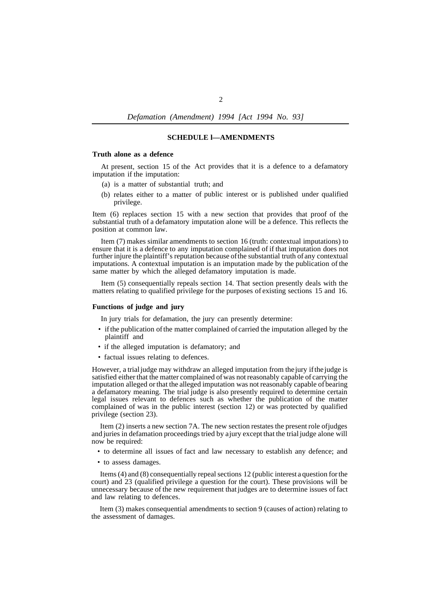*Defamation (Amendment) 1994 [Act 1994 No. 93]* 

### **SCHEDULE l—AMENDMENTS**

## **Truth alone as a defence**

At present, section 15 of the Act provides that it is a defence to a defamatory imputation if the imputation:

- (a) is a matter of substantial truth; and
- (b) relates either to a matter of public interest or is published under qualified privilege.

Item (6) replaces section 15 with a new section that provides that proof of the substantial truth of a defamatory imputation alone will be a defence. This reflects the position at common law.

Item (7) makes similar amendments to section 16 (truth: contextual imputations) to ensure that it is a defence to any imputation complained of if that imputation does not further injure the plaintiff's reputation because of the substantial truth of any contextual imputations. A contextual imputation is an imputation made by the publication of the same matter by which the alleged defamatory imputation is made.

Item (5) consequentially repeals section 14. That section presently deals with the matters relating to qualified privilege for the purposes of existing sections 15 and 16.

## **Functions of judge and jury**

In jury trials for defamation, the jury can presently determine:

- if the publication of the matter complained of carried the imputation alleged by the plaintiff and
- if the alleged imputation is defamatory; and
- factual issues relating to defences.

However, a trial judge may withdraw an alleged imputation from the jury if the judge is satisfied either that the matter complained of was not reasonably capable of carrying the imputation alleged or that the alleged imputation was not reasonably capable of bearing a defamatory meaning. The trial judge is also presently required to determine certain legal issues relevant to defences such as whether the publication of the matter complained of was in the public interest (section 12) or was protected by qualified privilege (section 23).

Item (2) inserts a new section 7A. The new section restates the present role of judges and juries in defamation proceedings tried by a jury except that the trial judge alone will now be required:

- to determine all issues of fact and law necessary to establish any defence; and
- to assess damages.

Items (4) and (8) consequentially repeal sections 12 (public interest a question for the court) and 23 (qualified privilege a question for the court). These provisions will be unnecessary because of the new requirement that judges are to determine issues of fact and law relating to defences.

Item (3) makes consequential amendments to section 9 (causes of action) relating to the assessment of damages.